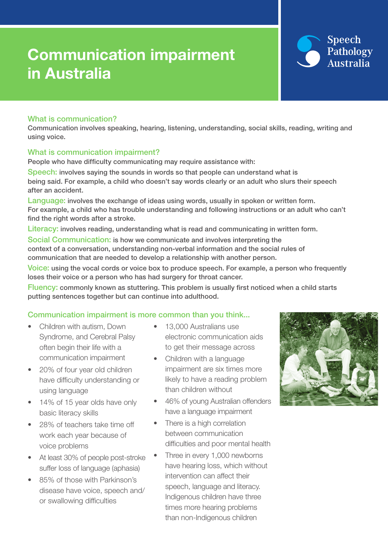# Communication impairment in Australia



### What is communication?

Communication involves speaking, hearing, listening, understanding, social skills, reading, writing and using voice.

#### What is communication impairment?

People who have difficulty communicating may require assistance with:

Speech: involves saying the sounds in words so that people can understand what is being said. For example, a child who doesn't say words clearly or an adult who slurs their speech after an accident.

Language: involves the exchange of ideas using words, usually in spoken or written form. For example, a child who has trouble understanding and following instructions or an adult who can't find the right words after a stroke.

Literacy: involves reading, understanding what is read and communicating in written form.

Social Communication: is how we communicate and involves interpreting the context of a conversation, understanding non-verbal information and the social rules of communication that are needed to develop a relationship with another person.

Voice: using the vocal cords or voice box to produce speech. For example, a person who frequently loses their voice or a person who has had surgery for throat cancer.

Fluency: commonly known as stuttering. This problem is usually first noticed when a child starts putting sentences together but can continue into adulthood.

#### Communication impairment is more common than you think...

- Children with autism, Down Syndrome, and Cerebral Palsy often begin their life with a communication impairment
- 20% of four year old children have difficulty understanding or using language
- 14% of 15 year olds have only basic literacy skills
- 28% of teachers take time off work each year because of voice problems
- At least 30% of people post-stroke suffer loss of language (aphasia)
- 85% of those with Parkinson's disease have voice, speech and/ or swallowing difficulties
- 13,000 Australians use electronic communication aids to get their message across
- Children with a language impairment are six times more likely to have a reading problem than children without
- 46% of young Australian offenders have a language impairment
- There is a high correlation between communication difficulties and poor mental health
- Three in every 1,000 newborns have hearing loss, which without intervention can affect their speech, language and literacy. Indigenous children have three times more hearing problems than non-Indigenous children